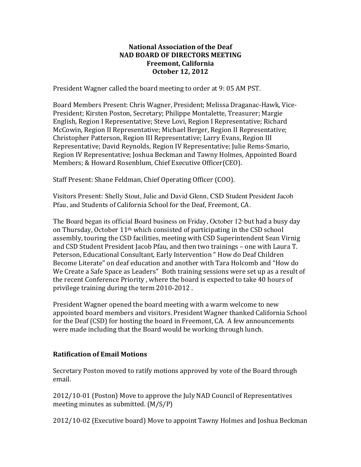# **National Association of the Deaf NAD BOARD OF DIRECTORS MEETING Freemont, California October 12, 2012**

President Wagner called the board meeting to order at 9: 05 AM PST.

Board Members Present: Chris Wagner, President; Melissa Draganac-Hawk, Vice-President; Kirsten Poston, Secretary; Philippe Montalette, Treasurer; Margie English, Region I Representative; Steve Lovi, Region I Representative; Richard McCowin, Region II Representative; Michael Berger, Region II Representative; Christopher Patterson, Region III Representative; Larry Evans, Region III Representative; David Reynolds, Region IV Representative; Julie Rems-Smario, Region IV Representative; Joshua Beckman and Tawny Holmes, Appointed Board Members; & Howard Rosenblum, Chief Executive Officer(CEO).

Staff Present: Shane Feldman, Chief Operating Officer (COO).

Visitors Present: Shelly Stout, Julie and David Glenn, CSD Student President Jacob Pfau, and Students of California School for the Deaf, Freemont, CA.

The Board began its official Board business on Friday, October  $12$ <sup>th</sup> but had a busy day on Thursday, October  $11<sup>th</sup>$  which consisted of participating in the CSD school assembly, touring the CSD facilities, meeting with CSD Superintendent Sean Virnig and CSD Student President Jacob Pfau, and then two trainings - one with Laura T. Peterson, Educational Consultant, Early Intervention " How do Deaf Children Become Literate" on deaf education and another with Tara Holcomb and "How do We Create a Safe Space as Leaders" Both training sessions were set up as a result of the recent Conference Priority, where the board is expected to take 40 hours of privilege training during the term 2010-2012.

President Wagner opened the board meeting with a warm welcome to new appointed board members and visitors. President Wagner thanked California School for the Deaf (CSD) for hosting the board in Freemont, CA. A few announcements were made including that the Board would be working through lunch.

# **Ratification of Email Motions**

Secretary Poston moved to ratify motions approved by vote of the Board through email.

2012/10-01 (Poston) Move to approve the July NAD Council of Representatives meeting minutes as submitted.  $(M/S/P)$ 

2012/10-02 (Executive board) Move to appoint Tawny Holmes and Joshua Beckman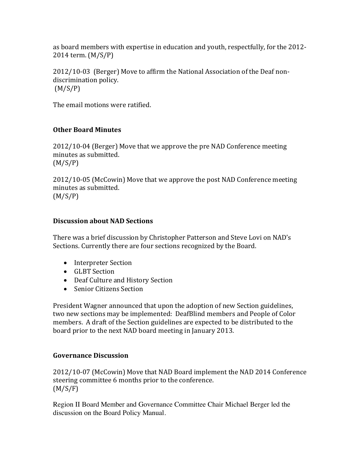as board members with expertise in education and youth, respectfully, for the 2012-2014 term. (M/S/P)

 $2012/10-03$  (Berger) Move to affirm the National Association of the Deaf nondiscrimination policy. (M/S/P)

The email motions were ratified.

# **Other Board Minutes**

 $2012/10-04$  (Berger) Move that we approve the pre NAD Conference meeting minutes as submitted.  $(M/S/P)$ 

2012/10-05 (McCowin) Move that we approve the post NAD Conference meeting minutes as submitted.  $(M/S/P)$ 

# **Discussion about NAD Sections**

There was a brief discussion by Christopher Patterson and Steve Lovi on NAD's Sections. Currently there are four sections recognized by the Board.

- Interpreter Section
- GLBT Section
- Deaf Culture and History Section
- Senior Citizens Section

President Wagner announced that upon the adoption of new Section guidelines, two new sections may be implemented: DeafBlind members and People of Color members. A draft of the Section guidelines are expected to be distributed to the board prior to the next NAD board meeting in January 2013.

# **Governance Discussion**

2012/10-07 (McCowin) Move that NAD Board implement the NAD 2014 Conference steering committee 6 months prior to the conference.  $(M/S/F)$ 

Region II Board Member and Governance Committee Chair Michael Berger led the discussion on the Board Policy Manual.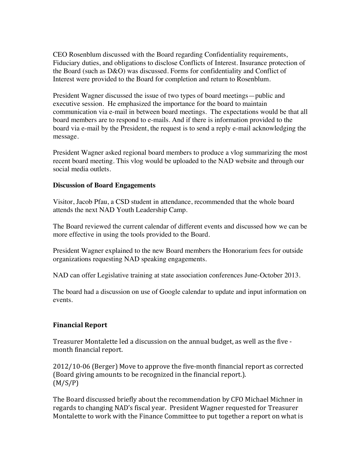CEO Rosenblum discussed with the Board regarding Confidentiality requirements, Fiduciary duties, and obligations to disclose Conflicts of Interest. Insurance protection of the Board (such as D&O) was discussed. Forms for confidentiality and Conflict of Interest were provided to the Board for completion and return to Rosenblum.

President Wagner discussed the issue of two types of board meetings—public and executive session. He emphasized the importance for the board to maintain communication via e-mail in between board meetings. The expectations would be that all board members are to respond to e-mails. And if there is information provided to the board via e-mail by the President, the request is to send a reply e-mail acknowledging the message.

President Wagner asked regional board members to produce a vlog summarizing the most recent board meeting. This vlog would be uploaded to the NAD website and through our social media outlets.

#### **Discussion of Board Engagements**

Visitor, Jacob Pfau, a CSD student in attendance, recommended that the whole board attends the next NAD Youth Leadership Camp.

The Board reviewed the current calendar of different events and discussed how we can be more effective in using the tools provided to the Board.

President Wagner explained to the new Board members the Honorarium fees for outside organizations requesting NAD speaking engagements.

NAD can offer Legislative training at state association conferences June-October 2013.

The board had a discussion on use of Google calendar to update and input information on events.

# **Financial Report**

Treasurer Montalette led a discussion on the annual budget, as well as the five month financial report.

2012/10-06 (Berger) Move to approve the five-month financial report as corrected (Board giving amounts to be recognized in the financial report.).  $(M/S/P)$ 

The Board discussed briefly about the recommendation by CFO Michael Michner in regards to changing NAD's fiscal year. President Wagner requested for Treasurer Montalette to work with the Finance Committee to put together a report on what is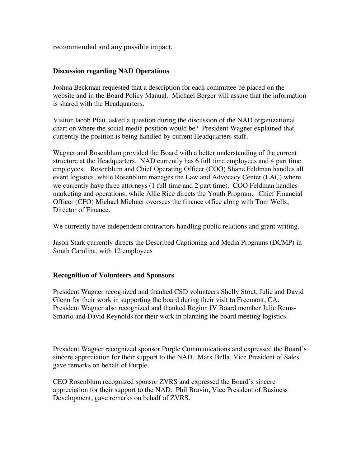recommended and any possible impact.

#### **Discussion regarding NAD Operations**

Joshua Beckman requested that a description for each committee be placed on the website and in the Board Policy Manual. Michael Berger will assure that the information is shared with the Headquarters.

Visitor Jacob Pfau, asked a question during the discussion of the NAD organizational chart on where the social media position would be? President Wagner explained that currently the position is being handled by current Headquarters staff.

Wagner and Rosenblum provided the Board with a better understanding of the current structure at the Headquarters. NAD currently has 6 full time employees and 4 part time employees. Rosenblum and Chief Operating Officer (COO) Shane Feldman handles all event logistics, while Rosenblum manages the Law and Advocacy Center (LAC) where we currently have three attorneys (1 full time and 2 part time). COO Feldman handles marketing and operations, while Allie Rice directs the Youth Program. Chief Financial Officer (CFO) Michael Michner oversees the finance office along with Tom Wells, Director of Finance.

We currently have independent contractors handling public relations and grant writing.

Jason Stark currently directs the Described Captioning and Media Programs (DCMP) in South Carolina, with 12 employees

# **Recognition of Volunteers and Sponsors**

President Wagner recognized and thanked CSD volunteers Shelly Stout, Julie and David Glenn for their work in supporting the board during their visit to Freemont, CA. President Wagner also recognized and thanked Region IV Board member Julie Rems-Smario and David Reynolds for their work in planning the board meeting logistics.

President Wagner recognized sponsor Purple Communications and expressed the Board's sincere appreciation for their support to the NAD. Mark Bella, Vice President of Sales gave remarks on behalf of Purple.

CEO Rosenblum recognized sponsor ZVRS and expressed the Board's sincere appreciation for their support to the NAD. Phil Bravin, Vice President of Business Development, gave remarks on behalf of ZVRS.